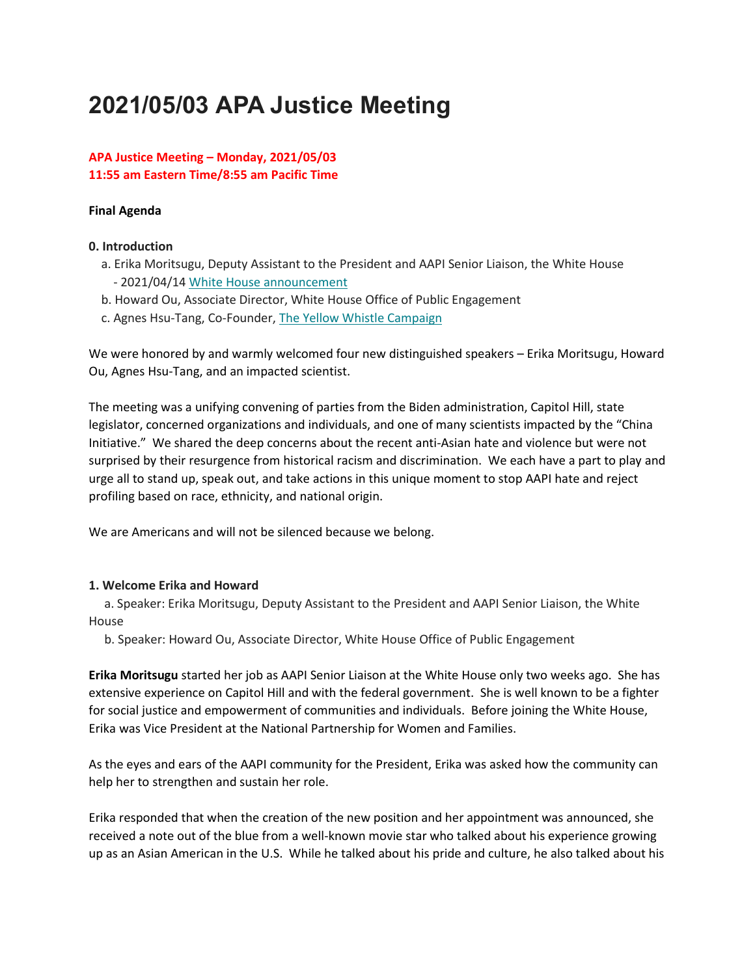# **2021/05/03 APA Justice Meeting**

## **APA Justice Meeting – Monday, 2021/05/03 11:55 am Eastern Time/8:55 am Pacific Time**

#### **Final Agenda**

#### **0. Introduction**

- a. Erika Moritsugu, Deputy Assistant to the President and AAPI Senior Liaison, the White House - 2021/04/14 [White House announcement](https://bit.ly/3e714hD)
- b. Howard Ou, Associate Director, White House Office of Public Engagement
- c. Agnes Hsu-Tang, Co-Founder, [The Yellow Whistle Campaign](https://bit.ly/32gKM0d)

We were honored by and warmly welcomed four new distinguished speakers – Erika Moritsugu, Howard Ou, Agnes Hsu-Tang, and an impacted scientist.

The meeting was a unifying convening of parties from the Biden administration, Capitol Hill, state legislator, concerned organizations and individuals, and one of many scientists impacted by the "China Initiative." We shared the deep concerns about the recent anti-Asian hate and violence but were not surprised by their resurgence from historical racism and discrimination. We each have a part to play and urge all to stand up, speak out, and take actions in this unique moment to stop AAPI hate and reject profiling based on race, ethnicity, and national origin.

We are Americans and will not be silenced because we belong.

## **1. Welcome Erika and Howard**

a. Speaker: Erika Moritsugu, Deputy Assistant to the President and AAPI Senior Liaison, the White House

b. Speaker: Howard Ou, Associate Director, White House Office of Public Engagement

**Erika Moritsugu** started her job as AAPI Senior Liaison at the White House only two weeks ago. She has extensive experience on Capitol Hill and with the federal government. She is well known to be a fighter for social justice and empowerment of communities and individuals. Before joining the White House, Erika was Vice President at the National Partnership for Women and Families.

As the eyes and ears of the AAPI community for the President, Erika was asked how the community can help her to strengthen and sustain her role.

Erika responded that when the creation of the new position and her appointment was announced, she received a note out of the blue from a well-known movie star who talked about his experience growing up as an Asian American in the U.S. While he talked about his pride and culture, he also talked about his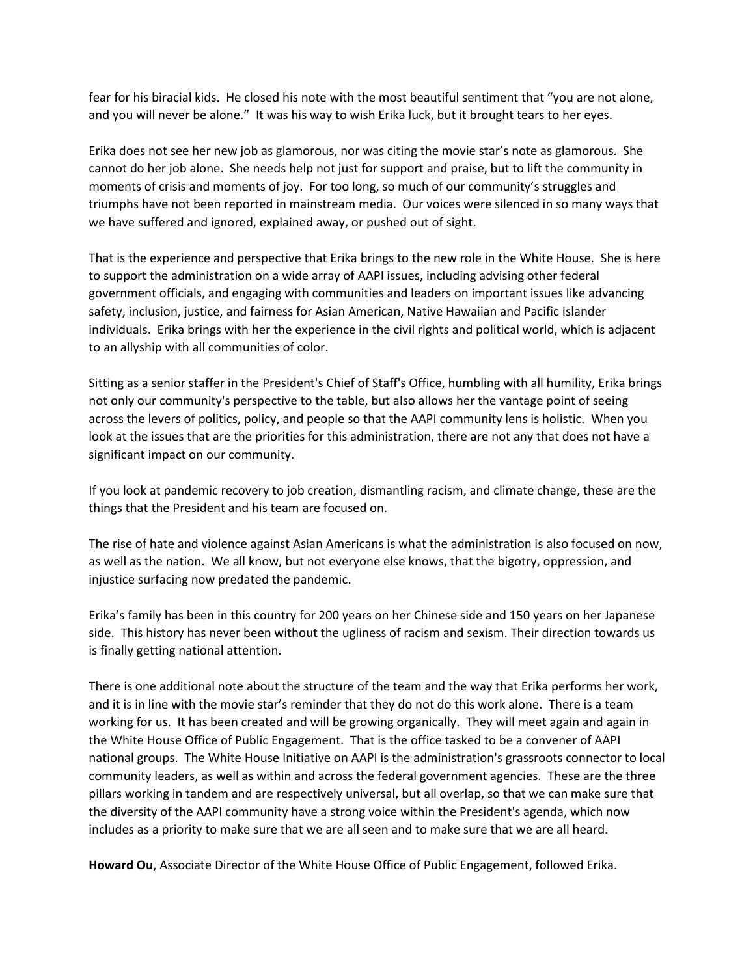fear for his biracial kids. He closed his note with the most beautiful sentiment that "you are not alone, and you will never be alone." It was his way to wish Erika luck, but it brought tears to her eyes.

Erika does not see her new job as glamorous, nor was citing the movie star's note as glamorous. She cannot do her job alone. She needs help not just for support and praise, but to lift the community in moments of crisis and moments of joy. For too long, so much of our community's struggles and triumphs have not been reported in mainstream media. Our voices were silenced in so many ways that we have suffered and ignored, explained away, or pushed out of sight.

That is the experience and perspective that Erika brings to the new role in the White House. She is here to support the administration on a wide array of AAPI issues, including advising other federal government officials, and engaging with communities and leaders on important issues like advancing safety, inclusion, justice, and fairness for Asian American, Native Hawaiian and Pacific Islander individuals. Erika brings with her the experience in the civil rights and political world, which is adjacent to an allyship with all communities of color.

Sitting as a senior staffer in the President's Chief of Staff's Office, humbling with all humility, Erika brings not only our community's perspective to the table, but also allows her the vantage point of seeing across the levers of politics, policy, and people so that the AAPI community lens is holistic. When you look at the issues that are the priorities for this administration, there are not any that does not have a significant impact on our community.

If you look at pandemic recovery to job creation, dismantling racism, and climate change, these are the things that the President and his team are focused on.

The rise of hate and violence against Asian Americans is what the administration is also focused on now, as well as the nation. We all know, but not everyone else knows, that the bigotry, oppression, and injustice surfacing now predated the pandemic.

Erika's family has been in this country for 200 years on her Chinese side and 150 years on her Japanese side. This history has never been without the ugliness of racism and sexism. Their direction towards us is finally getting national attention.

There is one additional note about the structure of the team and the way that Erika performs her work, and it is in line with the movie star's reminder that they do not do this work alone. There is a team working for us. It has been created and will be growing organically. They will meet again and again in the White House Office of Public Engagement. That is the office tasked to be a convener of AAPI national groups. The White House Initiative on AAPI is the administration's grassroots connector to local community leaders, as well as within and across the federal government agencies. These are the three pillars working in tandem and are respectively universal, but all overlap, so that we can make sure that the diversity of the AAPI community have a strong voice within the President's agenda, which now includes as a priority to make sure that we are all seen and to make sure that we are all heard.

**Howard Ou**, Associate Director of the White House Office of Public Engagement, followed Erika.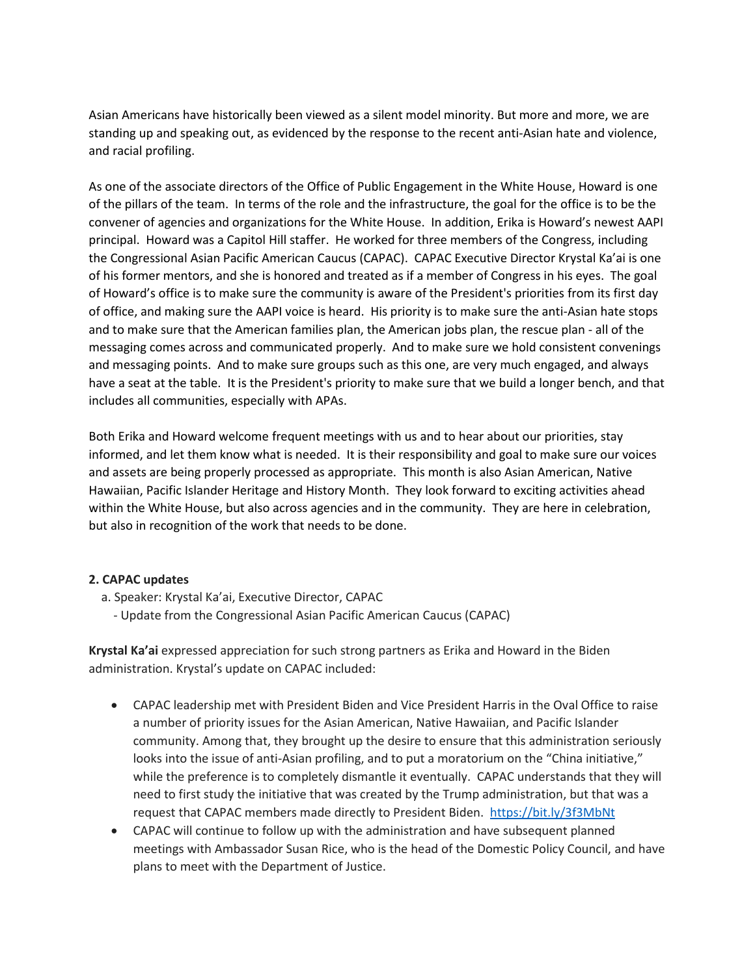Asian Americans have historically been viewed as a silent model minority. But more and more, we are standing up and speaking out, as evidenced by the response to the recent anti-Asian hate and violence, and racial profiling.

As one of the associate directors of the Office of Public Engagement in the White House, Howard is one of the pillars of the team. In terms of the role and the infrastructure, the goal for the office is to be the convener of agencies and organizations for the White House. In addition, Erika is Howard's newest AAPI principal. Howard was a Capitol Hill staffer. He worked for three members of the Congress, including the Congressional Asian Pacific American Caucus (CAPAC). CAPAC Executive Director Krystal Ka'ai is one of his former mentors, and she is honored and treated as if a member of Congress in his eyes. The goal of Howard's office is to make sure the community is aware of the President's priorities from its first day of office, and making sure the AAPI voice is heard. His priority is to make sure the anti-Asian hate stops and to make sure that the American families plan, the American jobs plan, the rescue plan - all of the messaging comes across and communicated properly. And to make sure we hold consistent convenings and messaging points. And to make sure groups such as this one, are very much engaged, and always have a seat at the table. It is the President's priority to make sure that we build a longer bench, and that includes all communities, especially with APAs.

Both Erika and Howard welcome frequent meetings with us and to hear about our priorities, stay informed, and let them know what is needed. It is their responsibility and goal to make sure our voices and assets are being properly processed as appropriate. This month is also Asian American, Native Hawaiian, Pacific Islander Heritage and History Month. They look forward to exciting activities ahead within the White House, but also across agencies and in the community. They are here in celebration, but also in recognition of the work that needs to be done.

# **2. CAPAC updates**

- a. Speaker: Krystal Ka'ai, Executive Director, CAPAC
	- Update from the Congressional Asian Pacific American Caucus (CAPAC)

**Krystal Ka'ai** expressed appreciation for such strong partners as Erika and Howard in the Biden administration. Krystal's update on CAPAC included:

- CAPAC leadership met with President Biden and Vice President Harris in the Oval Office to raise a number of priority issues for the Asian American, Native Hawaiian, and Pacific Islander community. Among that, they brought up the desire to ensure that this administration seriously looks into the issue of anti-Asian profiling, and to put a moratorium on the "China initiative," while the preference is to completely dismantle it eventually. CAPAC understands that they will need to first study the initiative that was created by the Trump administration, but that was a request that CAPAC members made directly to President Biden. <https://bit.ly/3f3MbNt>
- CAPAC will continue to follow up with the administration and have subsequent planned meetings with Ambassador Susan Rice, who is the head of the Domestic Policy Council, and have plans to meet with the Department of Justice.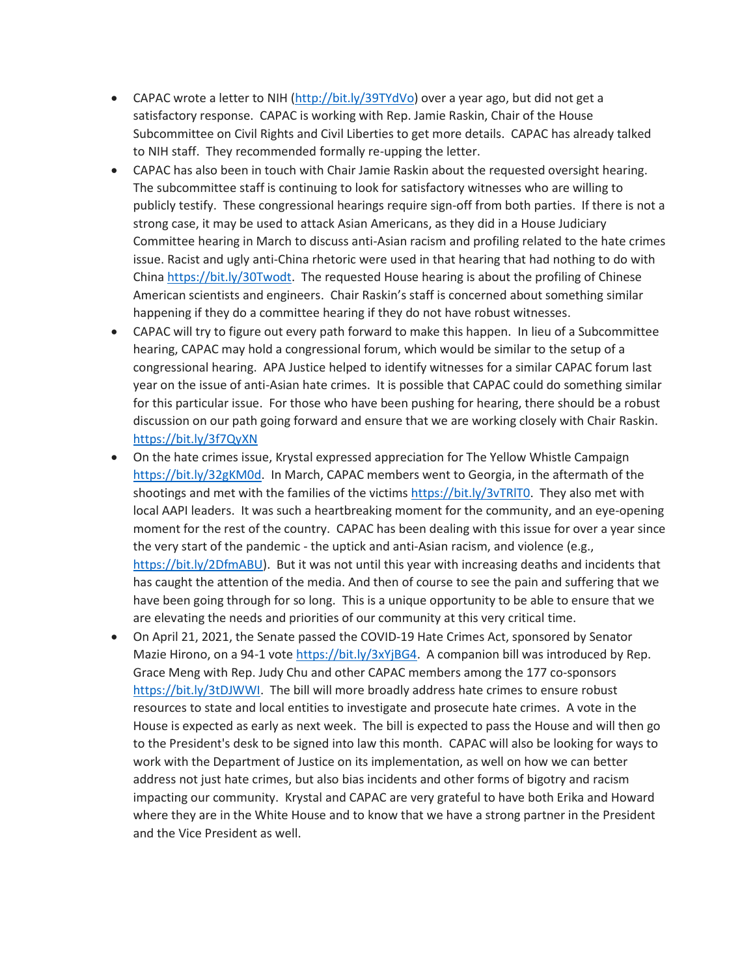- CAPAC wrote a letter to NIH [\(http://bit.ly/39TYdVo\)](http://bit.ly/39TYdVo) over a year ago, but did not get a satisfactory response. CAPAC is working with Rep. Jamie Raskin, Chair of the House Subcommittee on Civil Rights and Civil Liberties to get more details. CAPAC has already talked to NIH staff. They recommended formally re-upping the letter.
- CAPAC has also been in touch with Chair Jamie Raskin about the requested oversight hearing. The subcommittee staff is continuing to look for satisfactory witnesses who are willing to publicly testify. These congressional hearings require sign-off from both parties. If there is not a strong case, it may be used to attack Asian Americans, as they did in a House Judiciary Committee hearing in March to discuss anti-Asian racism and profiling related to the hate crimes issue. Racist and ugly anti-China rhetoric were used in that hearing that had nothing to do with China [https://bit.ly/30Twodt.](https://bit.ly/30Twodt) The requested House hearing is about the profiling of Chinese American scientists and engineers. Chair Raskin's staff is concerned about something similar happening if they do a committee hearing if they do not have robust witnesses.
- CAPAC will try to figure out every path forward to make this happen. In lieu of a Subcommittee hearing, CAPAC may hold a congressional forum, which would be similar to the setup of a congressional hearing. APA Justice helped to identify witnesses for a similar CAPAC forum last year on the issue of anti-Asian hate crimes. It is possible that CAPAC could do something similar for this particular issue. For those who have been pushing for hearing, there should be a robust discussion on our path going forward and ensure that we are working closely with Chair Raskin. <https://bit.ly/3f7QyXN>
- On the hate crimes issue, Krystal expressed appreciation for The Yellow Whistle Campaign [https://bit.ly/32gKM0d.](https://bit.ly/32gKM0d) In March, CAPAC members went to Georgia, in the aftermath of the shootings and met with the families of the victims [https://bit.ly/3vTRlT0.](https://bit.ly/3vTRlT0) They also met with local AAPI leaders. It was such a heartbreaking moment for the community, and an eye-opening moment for the rest of the country. CAPAC has been dealing with this issue for over a year since the very start of the pandemic - the uptick and anti-Asian racism, and violence (e.g., [https://bit.ly/2DfmABU\)](https://bit.ly/2DfmABU). But it was not until this year with increasing deaths and incidents that has caught the attention of the media. And then of course to see the pain and suffering that we have been going through for so long. This is a unique opportunity to be able to ensure that we are elevating the needs and priorities of our community at this very critical time.
- On April 21, 2021, the Senate passed the COVID-19 Hate Crimes Act, sponsored by Senator Mazie Hirono, on a 94-1 vote [https://bit.ly/3xYjBG4.](https://bit.ly/3xYjBG4) A companion bill was introduced by Rep. Grace Meng with Rep. Judy Chu and other CAPAC members among the 177 co-sponsors [https://bit.ly/3tDJWWI.](https://bit.ly/3tDJWWI) The bill will more broadly address hate crimes to ensure robust resources to state and local entities to investigate and prosecute hate crimes. A vote in the House is expected as early as next week. The bill is expected to pass the House and will then go to the President's desk to be signed into law this month. CAPAC will also be looking for ways to work with the Department of Justice on its implementation, as well on how we can better address not just hate crimes, but also bias incidents and other forms of bigotry and racism impacting our community. Krystal and CAPAC are very grateful to have both Erika and Howard where they are in the White House and to know that we have a strong partner in the President and the Vice President as well.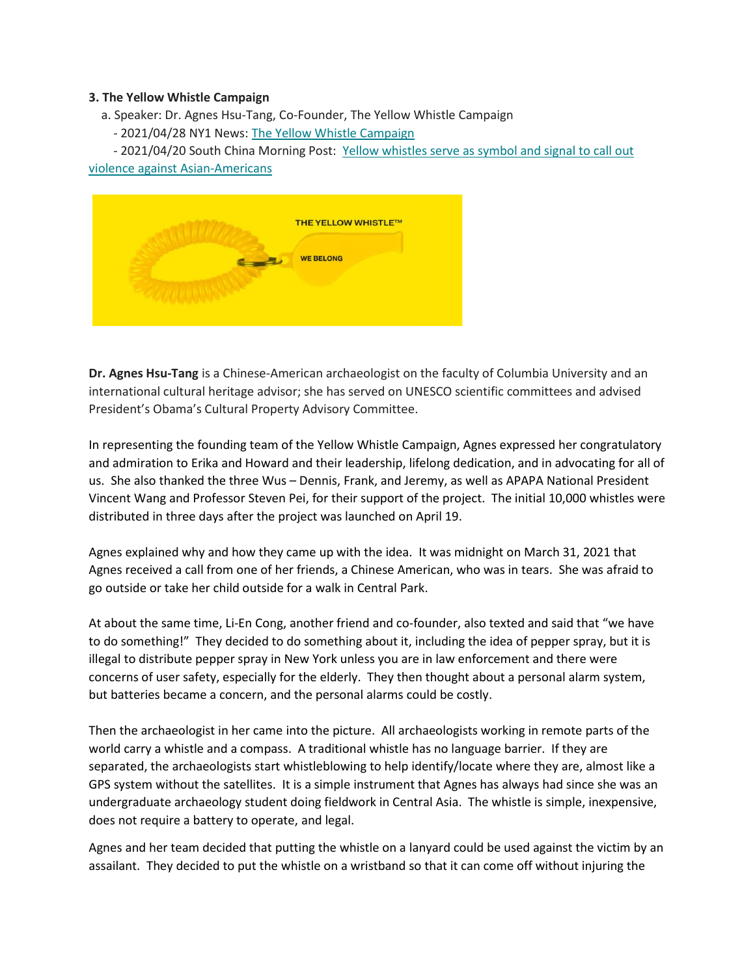#### **3. The Yellow Whistle Campaign**

a. Speaker: Dr. Agnes Hsu-Tang, Co-Founder, The Yellow Whistle Campaign

- 2021/04/28 NY1 News: [The Yellow Whistle Campaign](https://bit.ly/331SCLv)

- 2021/04/20 South China Morning Post: [Yellow whistles serve as symbol and signal to call out](https://bit.ly/3v16phm)  [violence against Asian-Americans](https://bit.ly/3v16phm)



**Dr. Agnes Hsu-Tang** is a Chinese-American archaeologist on the faculty of Columbia University and an international cultural heritage advisor; she has served on UNESCO scientific committees and advised President's Obama's Cultural Property Advisory Committee.

In representing the founding team of the Yellow Whistle Campaign, Agnes expressed her congratulatory and admiration to Erika and Howard and their leadership, lifelong dedication, and in advocating for all of us. She also thanked the three Wus – Dennis, Frank, and Jeremy, as well as APAPA National President Vincent Wang and Professor Steven Pei, for their support of the project. The initial 10,000 whistles were distributed in three days after the project was launched on April 19.

Agnes explained why and how they came up with the idea. It was midnight on March 31, 2021 that Agnes received a call from one of her friends, a Chinese American, who was in tears. She was afraid to go outside or take her child outside for a walk in Central Park.

At about the same time, Li-En Cong, another friend and co-founder, also texted and said that "we have to do something!" They decided to do something about it, including the idea of pepper spray, but it is illegal to distribute pepper spray in New York unless you are in law enforcement and there were concerns of user safety, especially for the elderly. They then thought about a personal alarm system, but batteries became a concern, and the personal alarms could be costly.

Then the archaeologist in her came into the picture. All archaeologists working in remote parts of the world carry a whistle and a compass. A traditional whistle has no language barrier. If they are separated, the archaeologists start whistleblowing to help identify/locate where they are, almost like a GPS system without the satellites. It is a simple instrument that Agnes has always had since she was an undergraduate archaeology student doing fieldwork in Central Asia. The whistle is simple, inexpensive, does not require a battery to operate, and legal.

Agnes and her team decided that putting the whistle on a lanyard could be used against the victim by an assailant. They decided to put the whistle on a wristband so that it can come off without injuring the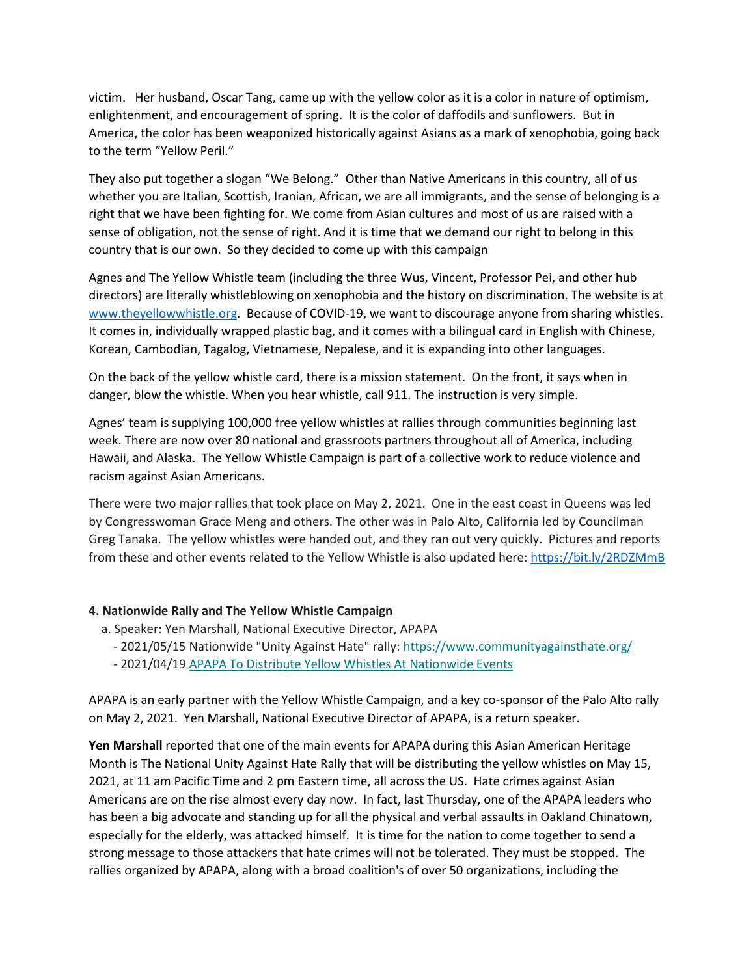victim. Her husband, Oscar Tang, came up with the yellow color as it is a color in nature of optimism, enlightenment, and encouragement of spring. It is the color of daffodils and sunflowers. But in America, the color has been weaponized historically against Asians as a mark of xenophobia, going back to the term "Yellow Peril."

They also put together a slogan "We Belong." Other than Native Americans in this country, all of us whether you are Italian, Scottish, Iranian, African, we are all immigrants, and the sense of belonging is a right that we have been fighting for. We come from Asian cultures and most of us are raised with a sense of obligation, not the sense of right. And it is time that we demand our right to belong in this country that is our own. So they decided to come up with this campaign

Agnes and The Yellow Whistle team (including the three Wus, Vincent, Professor Pei, and other hub directors) are literally whistleblowing on xenophobia and the history on discrimination. The website is at [www.theyellowwhistle.org.](http://www.theyellowwhistle.org/) Because of COVID-19, we want to discourage anyone from sharing whistles. It comes in, individually wrapped plastic bag, and it comes with a bilingual card in English with Chinese, Korean, Cambodian, Tagalog, Vietnamese, Nepalese, and it is expanding into other languages.

On the back of the yellow whistle card, there is a mission statement. On the front, it says when in danger, blow the whistle. When you hear whistle, call 911. The instruction is very simple.

Agnes' team is supplying 100,000 free yellow whistles at rallies through communities beginning last week. There are now over 80 national and grassroots partners throughout all of America, including Hawaii, and Alaska. The Yellow Whistle Campaign is part of a collective work to reduce violence and racism against Asian Americans.

There were two major rallies that took place on May 2, 2021. One in the east coast in Queens was led by Congresswoman Grace Meng and others. The other was in Palo Alto, California led by Councilman Greg Tanaka. The yellow whistles were handed out, and they ran out very quickly. Pictures and reports from these and other events related to the Yellow Whistle is also updated here:<https://bit.ly/2RDZMmB>

## **4. Nationwide Rally and The Yellow Whistle Campaign**

- a. Speaker: Yen Marshall, National Executive Director, APAPA
	- 2021/05/15 Nationwide "Unity Against Hate" rally: <https://www.communityagainsthate.org/> - 2021/04/19 [APAPA To Distribute Yellow Whistles At Nationwide Events](https://bit.ly/3anKysH)

APAPA is an early partner with the Yellow Whistle Campaign, and a key co-sponsor of the Palo Alto rally on May 2, 2021. Yen Marshall, National Executive Director of APAPA, is a return speaker.

**Yen Marshall** reported that one of the main events for APAPA during this Asian American Heritage Month is The National Unity Against Hate Rally that will be distributing the yellow whistles on May 15, 2021, at 11 am Pacific Time and 2 pm Eastern time, all across the US. Hate crimes against Asian Americans are on the rise almost every day now. In fact, last Thursday, one of the APAPA leaders who has been a big advocate and standing up for all the physical and verbal assaults in Oakland Chinatown, especially for the elderly, was attacked himself. It is time for the nation to come together to send a strong message to those attackers that hate crimes will not be tolerated. They must be stopped. The rallies organized by APAPA, along with a broad coalition's of over 50 organizations, including the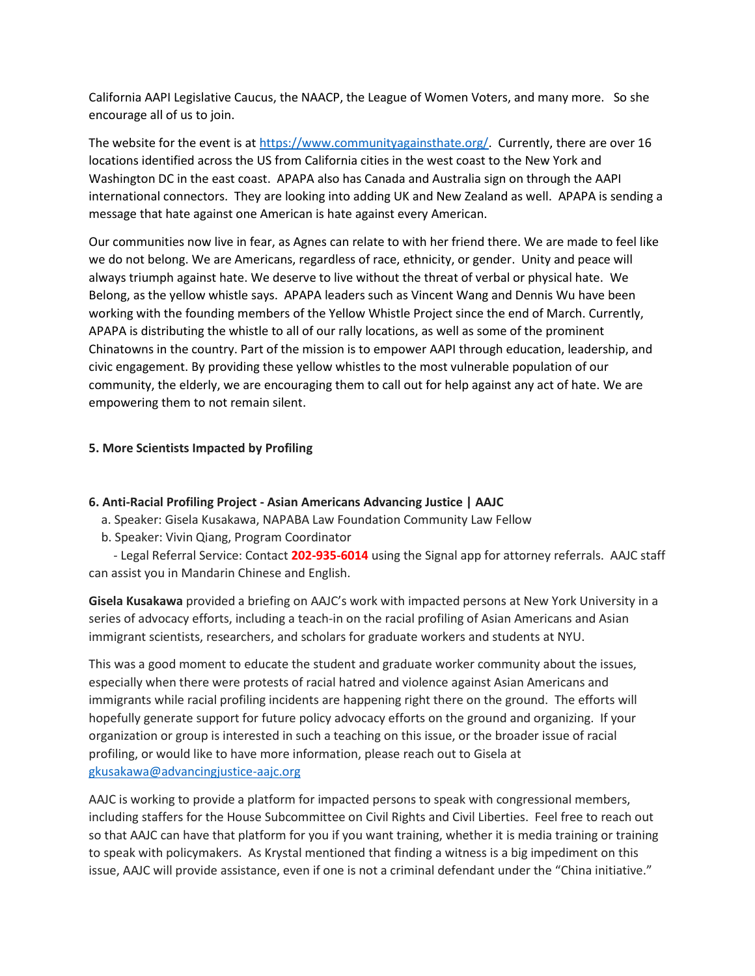California AAPI Legislative Caucus, the NAACP, the League of Women Voters, and many more. So she encourage all of us to join.

The website for the event is at [https://www.communityagainsthate.org/.](https://www.communityagainsthate.org/) Currently, there are over 16 locations identified across the US from California cities in the west coast to the New York and Washington DC in the east coast. APAPA also has Canada and Australia sign on through the AAPI international connectors. They are looking into adding UK and New Zealand as well. APAPA is sending a message that hate against one American is hate against every American.

Our communities now live in fear, as Agnes can relate to with her friend there. We are made to feel like we do not belong. We are Americans, regardless of race, ethnicity, or gender. Unity and peace will always triumph against hate. We deserve to live without the threat of verbal or physical hate. We Belong, as the yellow whistle says. APAPA leaders such as Vincent Wang and Dennis Wu have been working with the founding members of the Yellow Whistle Project since the end of March. Currently, APAPA is distributing the whistle to all of our rally locations, as well as some of the prominent Chinatowns in the country. Part of the mission is to empower AAPI through education, leadership, and civic engagement. By providing these yellow whistles to the most vulnerable population of our community, the elderly, we are encouraging them to call out for help against any act of hate. We are empowering them to not remain silent.

## **5. More Scientists Impacted by Profiling**

## **6. Anti-Racial Profiling Project - Asian Americans Advancing Justice | AAJC**

- a. Speaker: Gisela Kusakawa, NAPABA Law Foundation Community Law Fellow
- b. Speaker: Vivin Qiang, Program Coordinator

 - Legal Referral Service: Contact **202-935-6014** using the Signal app for attorney referrals. AAJC staff can assist you in Mandarin Chinese and English.

**Gisela Kusakawa** provided a briefing on AAJC's work with impacted persons at New York University in a series of advocacy efforts, including a teach-in on the racial profiling of Asian Americans and Asian immigrant scientists, researchers, and scholars for graduate workers and students at NYU.

This was a good moment to educate the student and graduate worker community about the issues, especially when there were protests of racial hatred and violence against Asian Americans and immigrants while racial profiling incidents are happening right there on the ground. The efforts will hopefully generate support for future policy advocacy efforts on the ground and organizing. If your organization or group is interested in such a teaching on this issue, or the broader issue of racial profiling, or would like to have more information, please reach out to Gisela at [gkusakawa@advancingjustice-aajc.org](mailto:gkusakawa@advancingjustice-aajc.org)

AAJC is working to provide a platform for impacted persons to speak with congressional members, including staffers for the House Subcommittee on Civil Rights and Civil Liberties. Feel free to reach out so that AAJC can have that platform for you if you want training, whether it is media training or training to speak with policymakers. As Krystal mentioned that finding a witness is a big impediment on this issue, AAJC will provide assistance, even if one is not a criminal defendant under the "China initiative."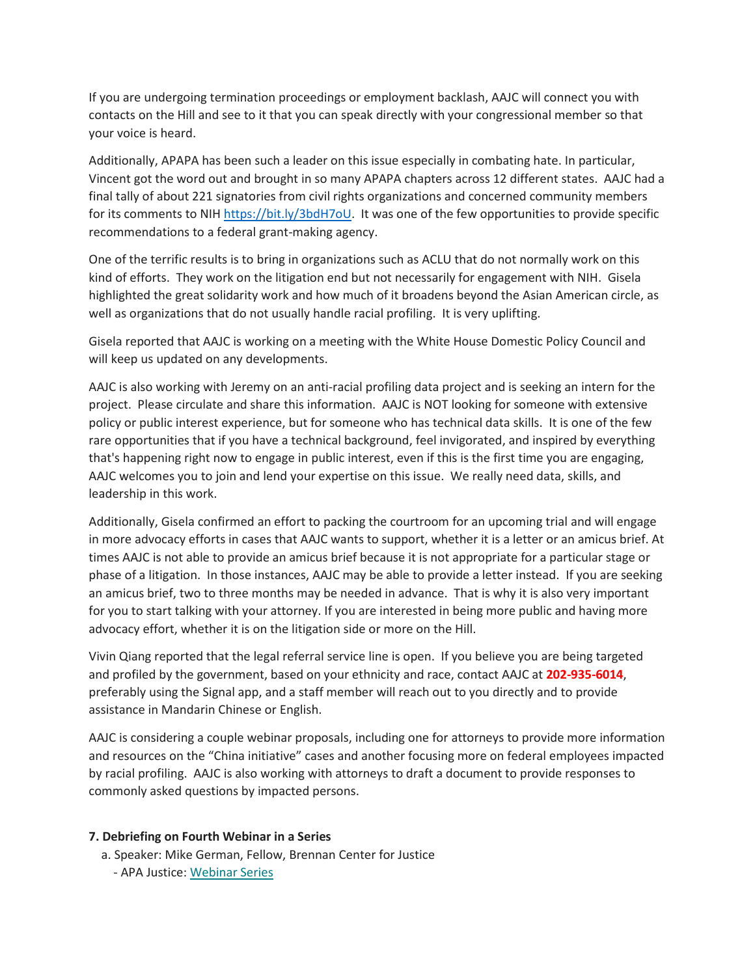If you are undergoing termination proceedings or employment backlash, AAJC will connect you with contacts on the Hill and see to it that you can speak directly with your congressional member so that your voice is heard.

Additionally, APAPA has been such a leader on this issue especially in combating hate. In particular, Vincent got the word out and brought in so many APAPA chapters across 12 different states. AAJC had a final tally of about 221 signatories from civil rights organizations and concerned community members for its comments to NIH [https://bit.ly/3bdH7oU.](https://bit.ly/3bdH7oU) It was one of the few opportunities to provide specific recommendations to a federal grant-making agency.

One of the terrific results is to bring in organizations such as ACLU that do not normally work on this kind of efforts. They work on the litigation end but not necessarily for engagement with NIH. Gisela highlighted the great solidarity work and how much of it broadens beyond the Asian American circle, as well as organizations that do not usually handle racial profiling. It is very uplifting.

Gisela reported that AAJC is working on a meeting with the White House Domestic Policy Council and will keep us updated on any developments.

AAJC is also working with Jeremy on an anti-racial profiling data project and is seeking an intern for the project. Please circulate and share this information. AAJC is NOT looking for someone with extensive policy or public interest experience, but for someone who has technical data skills. It is one of the few rare opportunities that if you have a technical background, feel invigorated, and inspired by everything that's happening right now to engage in public interest, even if this is the first time you are engaging, AAJC welcomes you to join and lend your expertise on this issue. We really need data, skills, and leadership in this work.

Additionally, Gisela confirmed an effort to packing the courtroom for an upcoming trial and will engage in more advocacy efforts in cases that AAJC wants to support, whether it is a letter or an amicus brief. At times AAJC is not able to provide an amicus brief because it is not appropriate for a particular stage or phase of a litigation. In those instances, AAJC may be able to provide a letter instead. If you are seeking an amicus brief, two to three months may be needed in advance. That is why it is also very important for you to start talking with your attorney. If you are interested in being more public and having more advocacy effort, whether it is on the litigation side or more on the Hill.

Vivin Qiang reported that the legal referral service line is open. If you believe you are being targeted and profiled by the government, based on your ethnicity and race, contact AAJC at **202-935-6014**, preferably using the Signal app, and a staff member will reach out to you directly and to provide assistance in Mandarin Chinese or English.

AAJC is considering a couple webinar proposals, including one for attorneys to provide more information and resources on the "China initiative" cases and another focusing more on federal employees impacted by racial profiling. AAJC is also working with attorneys to draft a document to provide responses to commonly asked questions by impacted persons.

## **7. Debriefing on Fourth Webinar in a Series**

a. Speaker: Mike German, Fellow, Brennan Center for Justice

- APA Justice: [Webinar Series](https://bit.ly/APAJ_Webinar_Series)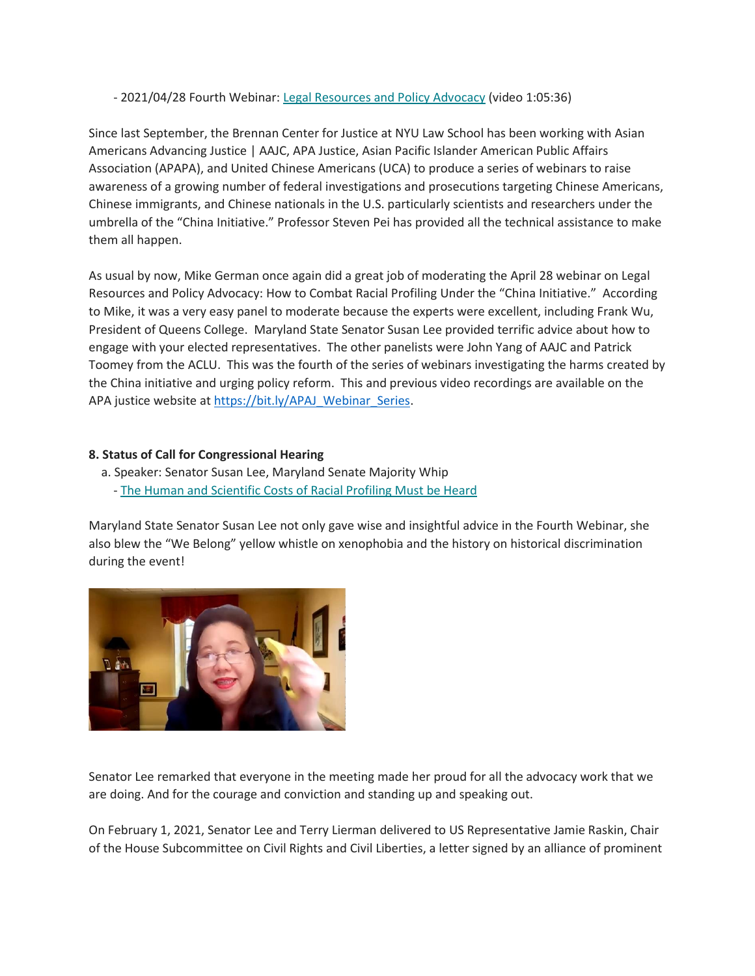- 2021/04/28 Fourth Webinar: [Legal Resources and Policy Advocacy](https://bit.ly/2RaCSDd) (video 1:05:36)

Since last September, the Brennan Center for Justice at NYU Law School has been working with Asian Americans Advancing Justice | AAJC, APA Justice, Asian Pacific Islander American Public Affairs Association (APAPA), and United Chinese Americans (UCA) to produce a series of webinars to raise awareness of a growing number of federal investigations and prosecutions targeting Chinese Americans, Chinese immigrants, and Chinese nationals in the U.S. particularly scientists and researchers under the umbrella of the "China Initiative." Professor Steven Pei has provided all the technical assistance to make them all happen.

As usual by now, Mike German once again did a great job of moderating the April 28 webinar on Legal Resources and Policy Advocacy: How to Combat Racial Profiling Under the "China Initiative." According to Mike, it was a very easy panel to moderate because the experts were excellent, including Frank Wu, President of Queens College. Maryland State Senator Susan Lee provided terrific advice about how to engage with your elected representatives. The other panelists were John Yang of AAJC and Patrick Toomey from the ACLU. This was the fourth of the series of webinars investigating the harms created by the China initiative and urging policy reform. This and previous video recordings are available on the APA justice website a[t https://bit.ly/APAJ\\_Webinar\\_Series.](https://bit.ly/APAJ_Webinar_Series)

# **8. Status of Call for Congressional Hearing**

a. Speaker: Senator Susan Lee, Maryland Senate Majority Whip - [The Human and Scientific Costs of Racial Profiling Must be Heard](https://bit.ly/3jaatHd)

Maryland State Senator Susan Lee not only gave wise and insightful advice in the Fourth Webinar, she also blew the "We Belong" yellow whistle on xenophobia and the history on historical discrimination during the event!



Senator Lee remarked that everyone in the meeting made her proud for all the advocacy work that we are doing. And for the courage and conviction and standing up and speaking out.

On February 1, 2021, Senator Lee and Terry Lierman delivered to US Representative Jamie Raskin, Chair of the House Subcommittee on Civil Rights and Civil Liberties, a letter signed by an alliance of prominent